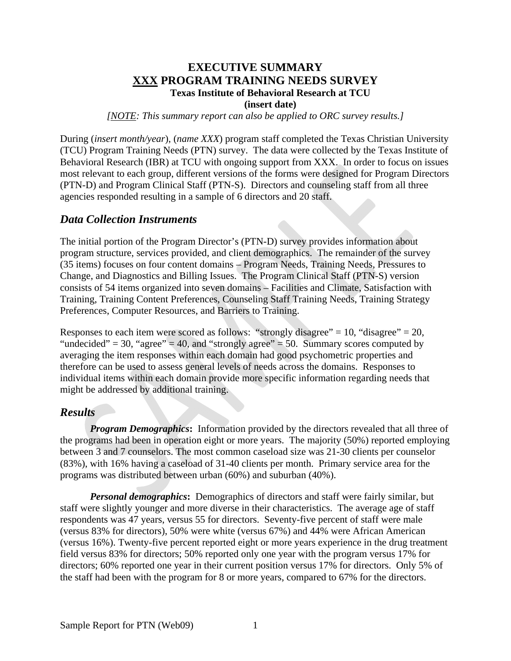### **EXECUTIVE SUMMARY XXX PROGRAM TRAINING NEEDS SURVEY Texas Institute of Behavioral Research at TCU**

**(insert date)** 

*[NOTE: This summary report can also be applied to ORC survey results.]* 

During (*insert month/year*), (*name XXX*) program staff completed the Texas Christian University (TCU) Program Training Needs (PTN) survey. The data were collected by the Texas Institute of Behavioral Research (IBR) at TCU with ongoing support from XXX. In order to focus on issues most relevant to each group, different versions of the forms were designed for Program Directors (PTN-D) and Program Clinical Staff (PTN-S). Directors and counseling staff from all three agencies responded resulting in a sample of 6 directors and 20 staff.

#### *Data Collection Instruments*

The initial portion of the Program Director's (PTN-D) survey provides information about program structure, services provided, and client demographics. The remainder of the survey (35 items) focuses on four content domains – Program Needs, Training Needs, Pressures to Change, and Diagnostics and Billing Issues. The Program Clinical Staff (PTN-S) version consists of 54 items organized into seven domains – Facilities and Climate, Satisfaction with Training, Training Content Preferences, Counseling Staff Training Needs, Training Strategy Preferences, Computer Resources, and Barriers to Training.

Responses to each item were scored as follows: "strongly disagree" = 10, "disagree" = 20, "undecided" = 30, "agree" = 40, and "strongly agree" = 50. Summary scores computed by averaging the item responses within each domain had good psychometric properties and therefore can be used to assess general levels of needs across the domains. Responses to individual items within each domain provide more specific information regarding needs that might be addressed by additional training.

#### *Results*

*Program Demographics*: Information provided by the directors revealed that all three of the programs had been in operation eight or more years. The majority (50%) reported employing between 3 and 7 counselors. The most common caseload size was 21-30 clients per counselor (83%), with 16% having a caseload of 31-40 clients per month. Primary service area for the programs was distributed between urban (60%) and suburban (40%).

*Personal demographics***:** Demographics of directors and staff were fairly similar, but staff were slightly younger and more diverse in their characteristics. The average age of staff respondents was 47 years, versus 55 for directors. Seventy-five percent of staff were male (versus 83% for directors), 50% were white (versus 67%) and 44% were African American (versus 16%). Twenty-five percent reported eight or more years experience in the drug treatment field versus 83% for directors; 50% reported only one year with the program versus 17% for directors; 60% reported one year in their current position versus 17% for directors. Only 5% of the staff had been with the program for 8 or more years, compared to 67% for the directors.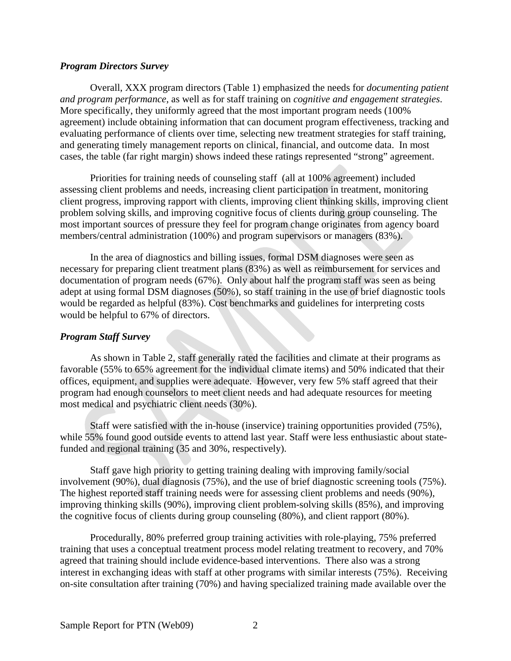#### *Program Directors Survey*

Overall, XXX program directors (Table 1) emphasized the needs for *documenting patient and program performance*, as well as for staff training on *cognitive and engagement strategies*. More specifically, they uniformly agreed that the most important program needs (100% agreement) include obtaining information that can document program effectiveness, tracking and evaluating performance of clients over time, selecting new treatment strategies for staff training, and generating timely management reports on clinical, financial, and outcome data. In most cases, the table (far right margin) shows indeed these ratings represented "strong" agreement.

Priorities for training needs of counseling staff (all at 100% agreement) included assessing client problems and needs, increasing client participation in treatment, monitoring client progress, improving rapport with clients, improving client thinking skills, improving client problem solving skills, and improving cognitive focus of clients during group counseling. The most important sources of pressure they feel for program change originates from agency board members/central administration (100%) and program supervisors or managers (83%).

In the area of diagnostics and billing issues, formal DSM diagnoses were seen as necessary for preparing client treatment plans (83%) as well as reimbursement for services and documentation of program needs (67%). Only about half the program staff was seen as being adept at using formal DSM diagnoses (50%), so staff training in the use of brief diagnostic tools would be regarded as helpful (83%). Cost benchmarks and guidelines for interpreting costs would be helpful to 67% of directors.

#### *Program Staff Survey*

As shown in Table 2, staff generally rated the facilities and climate at their programs as favorable (55% to 65% agreement for the individual climate items) and 50% indicated that their offices, equipment, and supplies were adequate. However, very few 5% staff agreed that their program had enough counselors to meet client needs and had adequate resources for meeting most medical and psychiatric client needs (30%).

Staff were satisfied with the in-house (inservice) training opportunities provided (75%), while 55% found good outside events to attend last year. Staff were less enthusiastic about statefunded and regional training (35 and 30%, respectively).

Staff gave high priority to getting training dealing with improving family/social involvement (90%), dual diagnosis (75%), and the use of brief diagnostic screening tools (75%). The highest reported staff training needs were for assessing client problems and needs (90%), improving thinking skills (90%), improving client problem-solving skills (85%), and improving the cognitive focus of clients during group counseling (80%), and client rapport (80%).

Procedurally, 80% preferred group training activities with role-playing, 75% preferred training that uses a conceptual treatment process model relating treatment to recovery, and 70% agreed that training should include evidence-based interventions. There also was a strong interest in exchanging ideas with staff at other programs with similar interests (75%). Receiving on-site consultation after training (70%) and having specialized training made available over the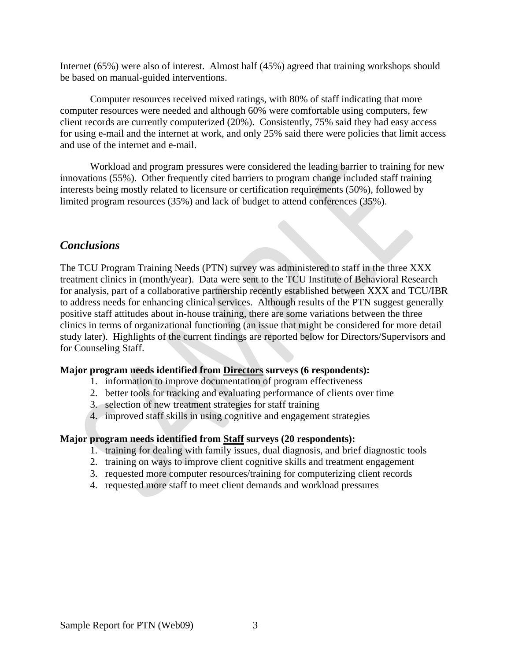Internet (65%) were also of interest. Almost half (45%) agreed that training workshops should be based on manual-guided interventions.

Computer resources received mixed ratings, with 80% of staff indicating that more computer resources were needed and although 60% were comfortable using computers, few client records are currently computerized (20%). Consistently, 75% said they had easy access for using e-mail and the internet at work, and only 25% said there were policies that limit access and use of the internet and e-mail.

Workload and program pressures were considered the leading barrier to training for new innovations (55%). Other frequently cited barriers to program change included staff training interests being mostly related to licensure or certification requirements (50%), followed by limited program resources (35%) and lack of budget to attend conferences (35%).

### *Conclusions*

The TCU Program Training Needs (PTN) survey was administered to staff in the three XXX treatment clinics in (month/year). Data were sent to the TCU Institute of Behavioral Research for analysis, part of a collaborative partnership recently established between XXX and TCU/IBR to address needs for enhancing clinical services. Although results of the PTN suggest generally positive staff attitudes about in-house training, there are some variations between the three clinics in terms of organizational functioning (an issue that might be considered for more detail study later). Highlights of the current findings are reported below for Directors/Supervisors and for Counseling Staff.

#### **Major program needs identified from Directors surveys (6 respondents):**

- 1. information to improve documentation of program effectiveness
- 2. better tools for tracking and evaluating performance of clients over time
- 3. selection of new treatment strategies for staff training
- 4. improved staff skills in using cognitive and engagement strategies

#### **Major program needs identified from Staff surveys (20 respondents):**

- 1. training for dealing with family issues, dual diagnosis, and brief diagnostic tools
- 2. training on ways to improve client cognitive skills and treatment engagement
- 3. requested more computer resources/training for computerizing client records
- 4. requested more staff to meet client demands and workload pressures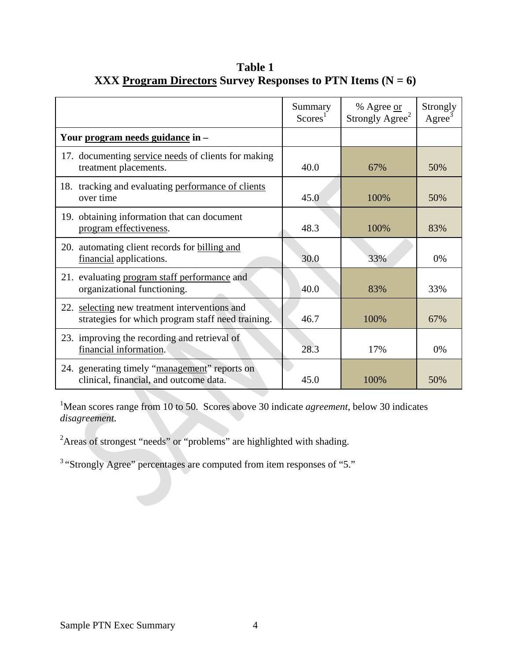|                                                                                                    | Summary<br>$Scores^1$ | % Agree or<br>Strongly Agree <sup>2</sup> | Strongly<br>Agree |
|----------------------------------------------------------------------------------------------------|-----------------------|-------------------------------------------|-------------------|
| Your program needs guidance in -                                                                   |                       |                                           |                   |
| 17. documenting service needs of clients for making<br>treatment placements.                       | 40.0                  | 67%                                       | 50%               |
| 18. tracking and evaluating performance of clients<br>over time                                    | 45.0                  | 100%                                      | 50%               |
| 19. obtaining information that can document<br>program effectiveness.                              | 48.3                  | 100%                                      | 83%               |
| 20. automating client records for billing and<br>financial applications.                           | 30.0                  | 33%                                       | 0%                |
| 21. evaluating program staff performance and<br>organizational functioning.                        | 40.0                  | 83%                                       | 33%               |
| 22. selecting new treatment interventions and<br>strategies for which program staff need training. | 46.7                  | 100%                                      | 67%               |
| 23. improving the recording and retrieval of<br>financial information.                             | 28.3                  | 17%                                       | 0%                |
| 24. generating timely "management" reports on<br>clinical, financial, and outcome data.            | 45.0                  | 100%                                      | 50%               |

**Table 1 XXX Program Directors Survey Responses to PTN Items (N = 6)** 

<sup>1</sup>Mean scores range from 10 to 50. Scores above 30 indicate *agreement*, below 30 indicates *disagreement*.

<sup>2</sup>Areas of strongest "needs" or "problems" are highlighted with shading.

3 "Strongly Agree" percentages are computed from item responses of "5."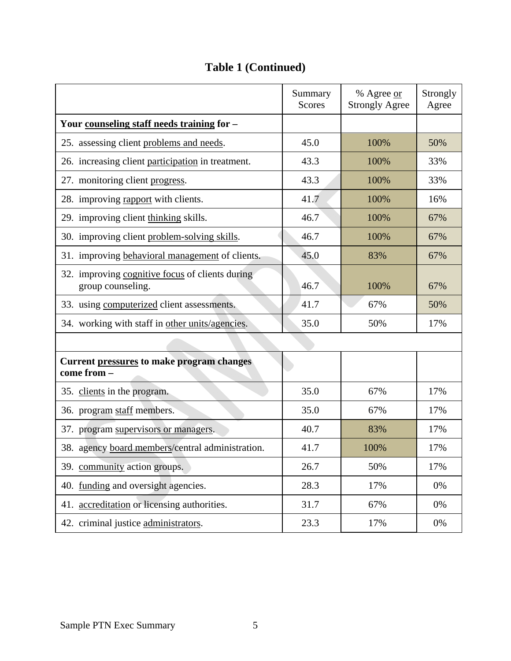|                                                                      | Summary<br><b>Scores</b> | % Agree or<br><b>Strongly Agree</b> | Strongly<br>Agree |  |
|----------------------------------------------------------------------|--------------------------|-------------------------------------|-------------------|--|
| Your counseling staff needs training for -                           |                          |                                     |                   |  |
| 25. assessing client problems and needs.                             | 45.0                     | 100%                                | 50%               |  |
| 26. increasing client participation in treatment.                    | 43.3                     | 100%                                | 33%               |  |
| 27. monitoring client progress.                                      | 43.3                     | 100%                                | 33%               |  |
| 28. improving rapport with clients.                                  | 41.7                     | 100%                                | 16%               |  |
| 29. improving client thinking skills.                                | 46.7                     | 100%                                | 67%               |  |
| 30. improving client problem-solving skills.                         | 46.7                     | 100%                                | 67%               |  |
| 31. improving behavioral management of clients.                      | 45.0                     | 83%                                 | 67%               |  |
| 32. improving cognitive focus of clients during<br>group counseling. | 46.7                     | 100%                                | 67%               |  |
| 33. using computerized client assessments.                           | 41.7                     | 67%                                 | 50%               |  |
| 34. working with staff in other units/agencies.                      | 35.0                     | 50%                                 | 17%               |  |
|                                                                      |                          |                                     |                   |  |
| <b>Current pressures to make program changes</b><br>come from -      |                          |                                     |                   |  |
| 35. clients in the program.                                          | 35.0                     | 67%                                 | 17%               |  |
| 36. program staff members.                                           | 35.0                     | 67%                                 | 17%               |  |
| 37. program supervisors or managers.                                 | 40.7                     | 83%                                 | 17%               |  |
| 38. agency board members/central administration.                     | 41.7                     | 100%                                | 17%               |  |
| 39. community action groups.                                         | 26.7                     | 50%                                 | 17%               |  |
| 40. funding and oversight agencies.                                  | 28.3                     | 17%                                 | 0%                |  |
| 41. accreditation or licensing authorities.                          | 31.7                     | 67%                                 | 0%                |  |
| 42. criminal justice administrators.                                 | 23.3                     | 17%                                 | 0%                |  |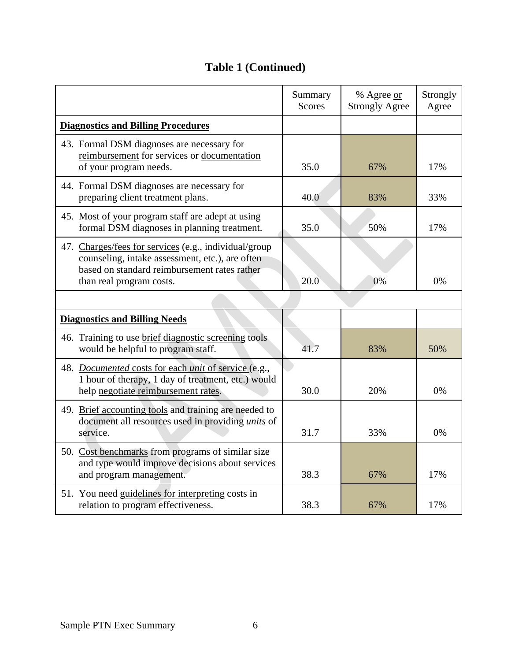## **Table 1 (Continued)**

|                                                                                                                                                                                      | Summary<br><b>Scores</b> | % Agree or<br><b>Strongly Agree</b> | Strongly<br>Agree |
|--------------------------------------------------------------------------------------------------------------------------------------------------------------------------------------|--------------------------|-------------------------------------|-------------------|
| <b>Diagnostics and Billing Procedures</b>                                                                                                                                            |                          |                                     |                   |
| 43. Formal DSM diagnoses are necessary for<br>reimbursement for services or documentation<br>of your program needs.                                                                  | 35.0                     | 67%                                 | 17%               |
| 44. Formal DSM diagnoses are necessary for<br>preparing client treatment plans.                                                                                                      | 40.0                     | 83%                                 | 33%               |
| 45. Most of your program staff are adept at using<br>formal DSM diagnoses in planning treatment.                                                                                     | 35.0                     | 50%                                 | 17%               |
| 47. Charges/fees for services (e.g., individual/group<br>counseling, intake assessment, etc.), are often<br>based on standard reimbursement rates rather<br>than real program costs. | 20.0                     | 0%                                  | 0%                |
| <b>Diagnostics and Billing Needs</b>                                                                                                                                                 |                          |                                     |                   |
| 46. Training to use brief diagnostic screening tools<br>would be helpful to program staff.                                                                                           | 41.7                     | 83%                                 | 50%               |
| 48. Documented costs for each unit of service (e.g.,<br>1 hour of therapy, 1 day of treatment, etc.) would<br>help negotiate reimbursement rates.                                    | 30.0                     | 20%                                 | 0%                |
| 49. Brief accounting tools and training are needed to<br>document all resources used in providing <i>units</i> of<br>service.                                                        | 31.7                     | 33%                                 | 0%                |
| 50. Cost benchmarks from programs of similar size<br>and type would improve decisions about services<br>and program management.                                                      | 38.3                     | 67%                                 | 17%               |
| 51. You need guidelines for interpreting costs in<br>relation to program effectiveness.                                                                                              | 38.3                     | 67%                                 | 17%               |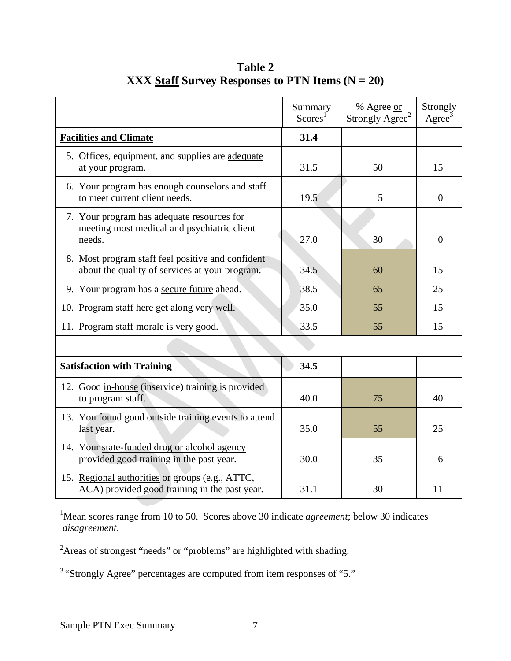|                                                                                                     | Summary<br>Scores <sup>1</sup> | % Agree or<br>Strongly Agree <sup>2</sup> | Strongly<br>$\rm{Agree}^3$ |
|-----------------------------------------------------------------------------------------------------|--------------------------------|-------------------------------------------|----------------------------|
| <b>Facilities and Climate</b>                                                                       | 31.4                           |                                           |                            |
| 5. Offices, equipment, and supplies are adequate<br>at your program.                                | 31.5                           | 50                                        | 15                         |
| 6. Your program has enough counselors and staff<br>to meet current client needs.                    | 19.5                           | 5                                         | $\theta$                   |
| 7. Your program has adequate resources for<br>meeting most medical and psychiatric client<br>needs. | 27.0                           | 30                                        | $\overline{0}$             |
| 8. Most program staff feel positive and confident<br>about the quality of services at your program. | 34.5                           | 60                                        | 15                         |
| 9. Your program has a secure future ahead.                                                          | 38.5                           | 65                                        | 25                         |
| 10. Program staff here get along very well.                                                         | 35.0                           | 55                                        | 15                         |
| 11. Program staff morale is very good.                                                              | 33.5                           | 55                                        | 15                         |
|                                                                                                     |                                |                                           |                            |
| <b>Satisfaction with Training</b>                                                                   | 34.5                           |                                           |                            |
| 12. Good in-house (inservice) training is provided<br>to program staff.                             | 40.0                           | 75                                        | 40                         |
| 13. You found good outside training events to attend<br>last year.                                  | 35.0                           | 55                                        | 25                         |
| 14. Your state-funded drug or alcohol agency<br>provided good training in the past year.            | 30.0                           | 35                                        | 6                          |
| 15. Regional authorities or groups (e.g., ATTC,<br>ACA) provided good training in the past year.    | 31.1                           | 30                                        | 11                         |

**Table 2 XXX Staff Survey Responses to PTN Items (N = 20)** 

<sup>1</sup>Mean scores range from 10 to 50. Scores above 30 indicate *agreement*; below 30 indicates  *disagreement*.

<sup>2</sup>Areas of strongest "needs" or "problems" are highlighted with shading.

3 "Strongly Agree" percentages are computed from item responses of "5."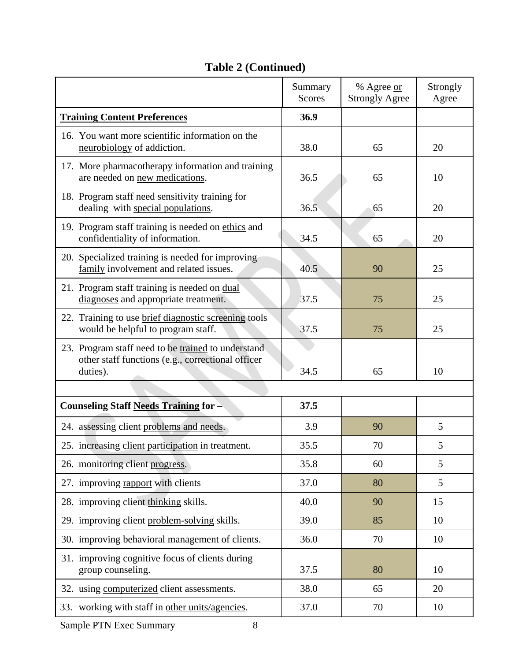# **Table 2 (Continued)**

|                                                                                                                     | Summary<br>Scores | % Agree or            | Strongly |
|---------------------------------------------------------------------------------------------------------------------|-------------------|-----------------------|----------|
|                                                                                                                     |                   | <b>Strongly Agree</b> | Agree    |
| <b>Training Content Preferences</b>                                                                                 | 36.9              |                       |          |
| 16. You want more scientific information on the<br>neurobiology of addiction.                                       | 38.0              | 65                    | 20       |
| 17. More pharmacotherapy information and training<br>are needed on new medications.                                 | 36.5              | 65                    | 10       |
| 18. Program staff need sensitivity training for<br>dealing with special populations.                                | 36.5              | 65                    | 20       |
| 19. Program staff training is needed on ethics and<br>confidentiality of information.                               | 34.5              | 65                    | 20       |
| 20. Specialized training is needed for improving<br>family involvement and related issues.                          | 40.5              | 90                    | 25       |
| 21. Program staff training is needed on dual<br>diagnoses and appropriate treatment.                                | 37.5              | 75                    | 25       |
| 22. Training to use brief diagnostic screening tools<br>would be helpful to program staff.                          | 37.5              | 75                    | 25       |
| 23. Program staff need to be trained to understand<br>other staff functions (e.g., correctional officer<br>duties). | 34.5              | 65                    | 10       |
|                                                                                                                     |                   |                       |          |
|                                                                                                                     |                   |                       |          |
| <b>Counseling Staff Needs Training for -</b>                                                                        | 37.5              |                       |          |
| 24. assessing client problems and needs.                                                                            | 3.9               | 90                    | 5        |
| 25. increasing client participation in treatment.                                                                   | 35.5              | 70                    | 5        |
| 26. monitoring client progress.                                                                                     | 35.8              | 60                    | 5        |
| 27. improving rapport with clients                                                                                  | 37.0              | 80                    | 5        |
| 28. improving client thinking skills.                                                                               | 40.0              | 90                    | 15       |
| 29. improving client problem-solving skills.                                                                        | 39.0              | 85                    | 10       |
| 30. improving behavioral management of clients.                                                                     | 36.0              | 70                    | 10       |
| 31. improving cognitive focus of clients during<br>group counseling.                                                | 37.5              | 80                    | 10       |
| 32. using computerized client assessments.                                                                          | 38.0              | 65                    | 20       |
| 33. working with staff in other units/agencies.                                                                     | 37.0              | 70                    | 10       |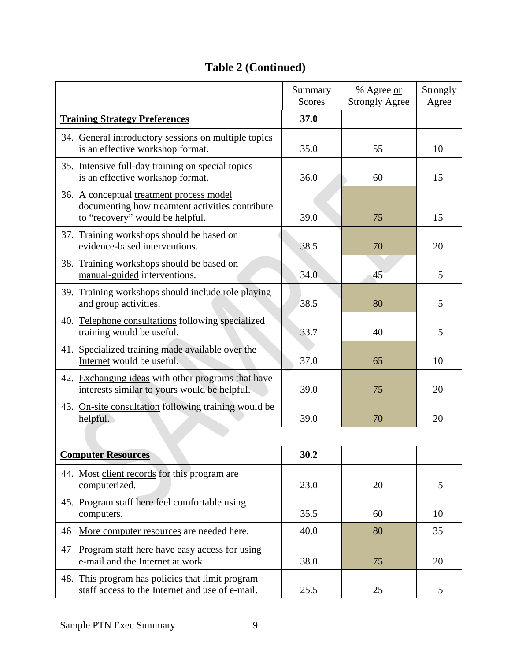## **Table 2 (Continued)**

|                                                                                                                                | Summary<br><b>Scores</b> | % Agree or<br><b>Strongly Agree</b> | Strongly<br>Agree |
|--------------------------------------------------------------------------------------------------------------------------------|--------------------------|-------------------------------------|-------------------|
| <b>Training Strategy Preferences</b>                                                                                           | 37.0                     |                                     |                   |
| 34. General introductory sessions on multiple topics<br>is an effective workshop format.                                       | 35.0                     | 55                                  | 10                |
| 35. Intensive full-day training on special topics<br>is an effective workshop format.                                          | 36.0                     | 60                                  | 15                |
| 36. A conceptual treatment process model<br>documenting how treatment activities contribute<br>to "recovery" would be helpful. | 39.0                     | 75                                  | 15                |
| 37. Training workshops should be based on<br>evidence-based interventions.                                                     | 38.5                     | 70                                  | 20                |
| 38. Training workshops should be based on<br>manual-guided interventions.                                                      | 34.0                     | 45                                  | 5                 |
| 39. Training workshops should include role playing<br>and group activities.                                                    | 38.5                     | 80                                  | 5                 |
| 40. Telephone consultations following specialized<br>training would be useful.                                                 | 33.7                     | 40                                  | 5                 |
| 41. Specialized training made available over the<br>Internet would be useful.                                                  | 37.0                     | 65                                  | 10                |
| 42. Exchanging ideas with other programs that have<br>interests similar to yours would be helpful.                             | 39.0                     | 75                                  | 20                |
| 43. On-site consultation following training would be<br>helpful.                                                               | 39.0                     | 70                                  | 20                |
|                                                                                                                                |                          |                                     |                   |
| <b>Computer Resources</b>                                                                                                      | 30.2                     |                                     |                   |
| 44. Most client records for this program are<br>computerized.                                                                  | 23.0                     | 20                                  | 5                 |
| 45. Program staff here feel comfortable using<br>computers.                                                                    | 35.5                     | 60                                  | 10                |
| 46<br>More computer resources are needed here.                                                                                 | 40.0                     | 80                                  | 35                |
| Program staff here have easy access for using<br>47<br>e-mail and the Internet at work.                                        | 38.0                     | 75                                  | 20                |
| 48. This program has policies that limit program<br>staff access to the Internet and use of e-mail.                            | 25.5                     | 25                                  | 5                 |